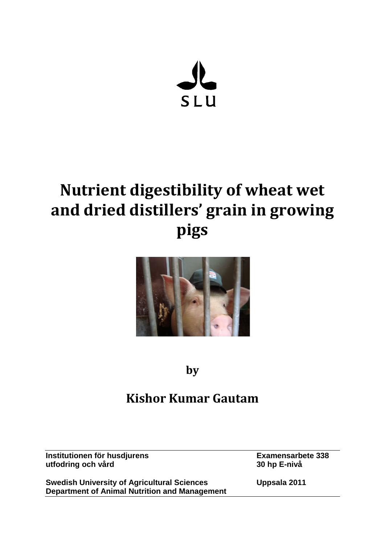

# **Nutrient digestibility of wheat wet and dried distillers' grain in growing pigs**



**by**

# **Kishor Kumar Gautam**

**Institutionen för husdjurens Examensarbete** 338<br>
utfodring och vård<br>
30 hp E-nivå **utfodring och vård 30 hp E-nivå**

**Swedish University of Agricultural Sciences Uppsala 2011 Department of Animal Nutrition and Management**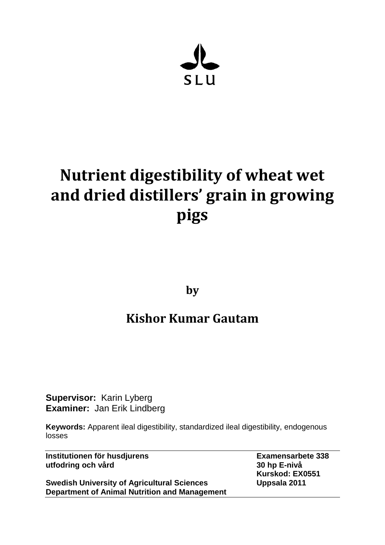

# **Nutrient digestibility of wheat wet and dried distillers' grain in growing pigs**

**by**

# **Kishor Kumar Gautam**

**Supervisor:** Karin Lyberg **Examiner:** Jan Erik Lindberg

**Keywords:** Apparent ileal digestibility, standardized ileal digestibility, endogenous losses

**Institutionen för husdjurens Examensarbete 338 utfodring och vård 30 hp E-nivå**

**Swedish University of Agricultural Sciences Uppsala 2011 Department of Animal Nutrition and Management**

**Kurskod: EX0551**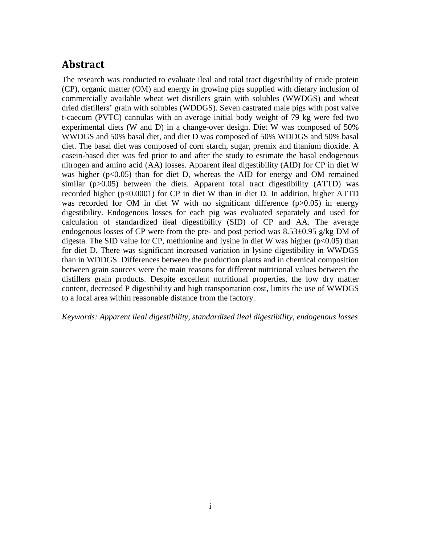## <span id="page-2-0"></span>**Abstract**

The research was conducted to evaluate ileal and total tract digestibility of crude protein (CP), organic matter (OM) and energy in growing pigs supplied with dietary inclusion of commercially available wheat wet distillers grain with solubles (WWDGS) and wheat dried distillers' grain with solubles (WDDGS). Seven castrated male pigs with post valve t-caecum (PVTC) cannulas with an average initial body weight of 79 kg were fed two experimental diets (W and D) in a change-over design. Diet W was composed of 50% WWDGS and 50% basal diet, and diet D was composed of 50% WDDGS and 50% basal diet. The basal diet was composed of corn starch, sugar, premix and titanium dioxide. A casein-based diet was fed prior to and after the study to estimate the basal endogenous nitrogen and amino acid (AA) losses. Apparent ileal digestibility (AID) for CP in diet W was higher  $(p<0.05)$  than for diet D, whereas the AID for energy and OM remained similar  $(p>0.05)$  between the diets. Apparent total tract digestibility (ATTD) was recorded higher (p<0.0001) for CP in diet W than in diet D. In addition, higher ATTD was recorded for OM in diet W with no significant difference (p>0.05) in energy digestibility. Endogenous losses for each pig was evaluated separately and used for calculation of standardized ileal digestibility (SID) of CP and AA. The average endogenous losses of CP were from the pre- and post period was  $8.53\pm0.95$  g/kg DM of digesta. The SID value for CP, methionine and lysine in diet W was higher  $(p<0.05)$  than for diet D. There was significant increased variation in lysine digestibility in WWDGS than in WDDGS. Differences between the production plants and in chemical composition between grain sources were the main reasons for different nutritional values between the distillers grain products. Despite excellent nutritional properties, the low dry matter content, decreased P digestibility and high transportation cost, limits the use of WWDGS to a local area within reasonable distance from the factory.

*Keywords: Apparent ileal digestibility, standardized ileal digestibility, endogenous losses*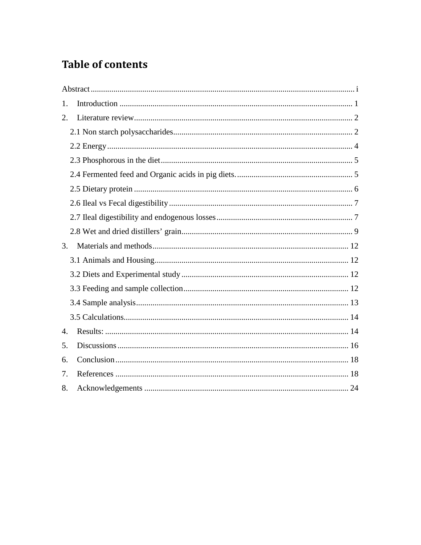# **Table of contents**

| 1. |  |
|----|--|
| 2. |  |
|    |  |
|    |  |
|    |  |
|    |  |
|    |  |
|    |  |
|    |  |
|    |  |
| 3. |  |
|    |  |
|    |  |
|    |  |
|    |  |
|    |  |
| 4. |  |
| 5. |  |
| 6. |  |
| 7. |  |
| 8. |  |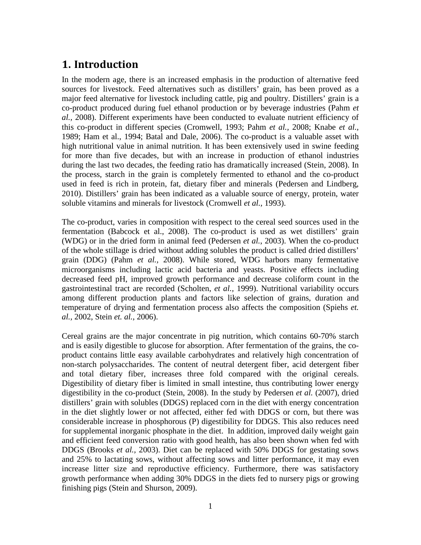## <span id="page-4-0"></span>**1. Introduction**

In the modern age, there is an increased emphasis in the production of alternative feed sources for livestock. Feed alternatives such as distillers' grain, has been proved as a major feed alternative for livestock including cattle, pig and poultry. Distillers' grain is a co-product produced during fuel ethanol production or by beverage industries (Pahm *et al.,* 2008). Different experiments have been conducted to evaluate nutrient efficiency of this co-product in different species (Cromwell, 1993; Pahm *et al.,* 2008; Knabe *et al.,* 1989; Ham et al., 1994; Batal and Dale, 2006). The co-product is a valuable asset with high nutritional value in animal nutrition. It has been extensively used in swine feeding for more than five decades, but with an increase in production of ethanol industries during the last two decades, the feeding ratio has dramatically increased (Stein, 2008). In the process, starch in the grain is completely fermented to ethanol and the co-product used in feed is rich in protein, fat, dietary fiber and minerals (Pedersen and Lindberg, 2010). Distillers' grain has been indicated as a valuable source of energy, protein, water soluble vitamins and minerals for livestock (Cromwell *et al.,* 1993).

The co-product, varies in composition with respect to the cereal seed sources used in the fermentation (Babcock et al., 2008). The co-product is used as wet distillers' grain (WDG) or in the dried form in animal feed (Pedersen *et al.*, 2003). When the co-product of the whole stillage is dried without adding solubles the product is called dried distillers' grain (DDG) (Pahm *et al.,* 2008). While stored, WDG harbors many fermentative microorganisms including lactic acid bacteria and yeasts. Positive effects including decreased feed pH, improved growth performance and decrease coliform count in the gastrointestinal tract are recorded (Scholten, *et al.,* 1999). Nutritional variability occurs among different production plants and factors like selection of grains, duration and temperature of drying and fermentation process also affects the composition (Spiehs *et. al.,* 2002, Stein *et. al.*, 2006).

Cereal grains are the major concentrate in pig nutrition, which contains 60-70% starch and is easily digestible to glucose for absorption. After fermentation of the grains, the coproduct contains little easy available carbohydrates and relatively high concentration of non-starch polysaccharides. The content of neutral detergent fiber, acid detergent fiber and total dietary fiber, increases three fold compared with the original cereals. Digestibility of dietary fiber is limited in small intestine, thus contributing lower energy digestibility in the co-product (Stein, 2008). In the study by Pedersen *et al.* (2007), dried distillers' grain with solubles (DDGS) replaced corn in the diet with energy concentration in the diet slightly lower or not affected, either fed with DDGS or corn, but there was considerable increase in phosphorous (P) digestibility for DDGS. This also reduces need for supplemental inorganic phosphate in the diet. In addition, improved daily weight gain and efficient feed conversion ratio with good health, has also been shown when fed with DDGS (Brooks *et al.,* 2003). Diet can be replaced with 50% DDGS for gestating sows and 25% to lactating sows, without affecting sows and litter performance, it may even increase litter size and reproductive efficiency. Furthermore, there was satisfactory growth performance when adding 30% DDGS in the diets fed to nursery pigs or growing finishing pigs (Stein and Shurson, 2009).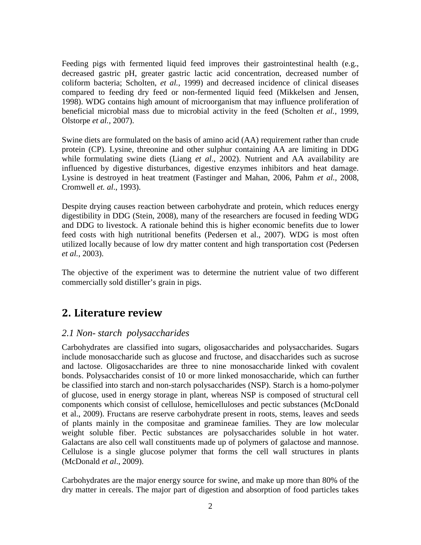Feeding pigs with fermented liquid feed improves their gastrointestinal health (e.g., decreased gastric pH, greater gastric lactic acid concentration, decreased number of coliform bacteria; Scholten, *et al.,* 1999) and decreased incidence of clinical diseases compared to feeding dry feed or non-fermented liquid feed (Mikkelsen and Jensen, 1998). WDG contains high amount of microorganism that may influence proliferation of beneficial microbial mass due to microbial activity in the feed (Scholten *et al.,* 1999, Olstorpe *et al.,* 2007).

Swine diets are formulated on the basis of amino acid (AA) requirement rather than crude protein (CP). Lysine, threonine and other sulphur containing AA are limiting in DDG while formulating swine diets (Liang *et al*., 2002). Nutrient and AA availability are influenced by digestive disturbances, digestive enzymes inhibitors and heat damage. Lysine is destroyed in heat treatment (Fastinger and Mahan, 2006, Pahm *et al.,* 2008, Cromwell *et. al*., 1993).

Despite drying causes reaction between carbohydrate and protein, which reduces energy digestibility in DDG (Stein, 2008), many of the researchers are focused in feeding WDG and DDG to livestock. A rationale behind this is higher economic benefits due to lower feed costs with high nutritional benefits (Pedersen et al., 2007). WDG is most often utilized locally because of low dry matter content and high transportation cost (Pedersen *et al.,* 2003).

The objective of the experiment was to determine the nutrient value of two different commercially sold distiller's grain in pigs.

### <span id="page-5-0"></span>**2. Literature review**

#### <span id="page-5-1"></span>*2.1 Non- starch polysaccharides*

Carbohydrates are classified into sugars, oligosaccharides and polysaccharides. Sugars include monosaccharide such as glucose and fructose, and disaccharides such as sucrose and lactose. Oligosaccharides are three to nine monosaccharide linked with covalent bonds. Polysaccharides consist of 10 or more linked monosaccharide, which can further be classified into starch and non-starch polysaccharides (NSP). Starch is a homo-polymer of glucose, used in energy storage in plant, whereas NSP is composed of structural cell components which consist of cellulose, hemicelluloses and pectic substances (McDonald et al., 2009). Fructans are reserve carbohydrate present in roots, stems, leaves and seeds of plants mainly in the compositae and gramineae families. They are low molecular weight soluble fiber. Pectic substances are polysaccharides soluble in hot water. Galactans are also cell wall constituents made up of polymers of galactose and mannose. Cellulose is a single glucose polymer that forms the cell wall structures in plants (McDonald *et al*., 2009).

Carbohydrates are the major energy source for swine, and make up more than 80% of the dry matter in cereals. The major part of digestion and absorption of food particles takes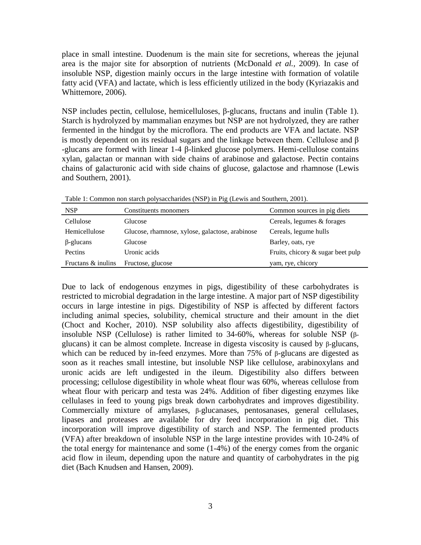place in small intestine. Duodenum is the main site for secretions, whereas the jejunal area is the major site for absorption of nutrients (McDonald *et al.,* 2009). In case of insoluble NSP, digestion mainly occurs in the large intestine with formation of volatile fatty acid (VFA) and lactate, which is less efficiently utilized in the body (Kyriazakis and Whittemore, 2006).

NSP includes pectin, cellulose, hemicelluloses, β-glucans, fructans and inulin (Table 1). Starch is hydrolyzed by mammalian enzymes but NSP are not hydrolyzed, they are rather fermented in the hindgut by the microflora. The end products are VFA and lactate. NSP is mostly dependent on its residual sugars and the linkage between them. Cellulose and β -glucans are formed with linear 1-4 β-linked glucose polymers. Hemi-cellulose contains xylan, galactan or mannan with side chains of arabinose and galactose. Pectin contains chains of galacturonic acid with side chains of glucose, galactose and rhamnose (Lewis and Southern, 2001).

| <b>NSP</b>         | Constituents monomers                           | Common sources in pig diets          |
|--------------------|-------------------------------------------------|--------------------------------------|
| Cellulose          | Glucose                                         | Cereals, legumes & forages           |
| Hemicellulose      | Glucose, rhamnose, xylose, galactose, arabinose | Cereals, legume hulls                |
| $\beta$ -glucans   | Glucose                                         | Barley, oats, rye                    |
| Pectins            | Uronic acids                                    | Fruits, chicory $\&$ sugar beet pulp |
| Fructans & inulins | Fructose, glucose                               | yam, rye, chicory                    |

Table 1: Common non starch polysaccharides (NSP) in Pig (Lewis and Southern, 2001).

Due to lack of endogenous enzymes in pigs, digestibility of these carbohydrates is restricted to microbial degradation in the large intestine. A major part of NSP digestibility occurs in large intestine in pigs. Digestibility of NSP is affected by different factors including animal species, solubility, chemical structure and their amount in the diet (Choct and Kocher, 2010). NSP solubility also affects digestibility, digestibility of insoluble NSP (Cellulose) is rather limited to 34-60%, whereas for soluble NSP (βglucans) it can be almost complete. Increase in digesta viscosity is caused by β-glucans, which can be reduced by in-feed enzymes. More than 75% of β-glucans are digested as soon as it reaches small intestine, but insoluble NSP like cellulose, arabinoxylans and uronic acids are left undigested in the ileum. Digestibility also differs between processing; cellulose digestibility in whole wheat flour was 60%, whereas cellulose from wheat flour with pericarp and testa was 24%. Addition of fiber digesting enzymes like cellulases in feed to young pigs break down carbohydrates and improves digestibility. Commercially mixture of amylases, β-glucanases, pentosanases, general cellulases, lipases and proteases are available for dry feed incorporation in pig diet. This incorporation will improve digestibility of starch and NSP. The fermented products (VFA) after breakdown of insoluble NSP in the large intestine provides with 10-24% of the total energy for maintenance and some (1-4%) of the energy comes from the organic acid flow in ileum, depending upon the nature and quantity of carbohydrates in the pig diet (Bach Knudsen and Hansen, 2009).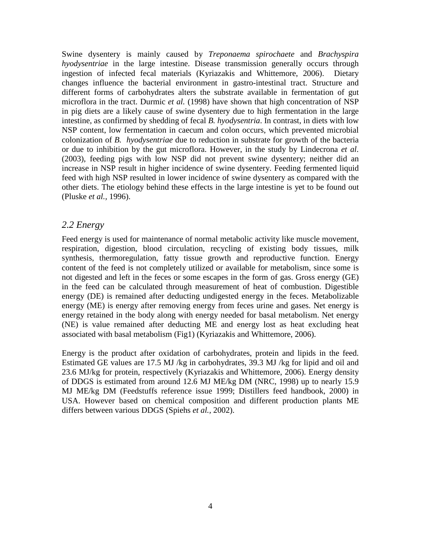Swine dysentery is mainly caused by *Treponaema spirochaete* and *Brachyspira hyodysentriae* in the large intestine. Disease transmission generally occurs through ingestion of infected fecal materials (Kyriazakis and Whittemore, 2006). Dietary changes influence the bacterial environment in gastro-intestinal tract. Structure and different forms of carbohydrates alters the substrate available in fermentation of gut microflora in the tract. Durmic *et al.* (1998) have shown that high concentration of NSP in pig diets are a likely cause of swine dysentery due to high fermentation in the large intestine, as confirmed by shedding of fecal *B. hyodysentria*. In contrast, in diets with low NSP content, low fermentation in caecum and colon occurs, which prevented microbial colonization of *B. hyodysentriae* due to reduction in substrate for growth of the bacteria or due to inhibition by the gut microflora. However, in the study by Lindecrona *et al*. (2003), feeding pigs with low NSP did not prevent swine dysentery; neither did an increase in NSP result in higher incidence of swine dysentery. Feeding fermented liquid feed with high NSP resulted in lower incidence of swine dysentery as compared with the other diets. The etiology behind these effects in the large intestine is yet to be found out (Pluske *et al.,* 1996).

#### <span id="page-7-0"></span>*2.2 Energy*

Feed energy is used for maintenance of normal metabolic activity like muscle movement, respiration, digestion, blood circulation, recycling of existing body tissues, milk synthesis, thermoregulation, fatty tissue growth and reproductive function. Energy content of the feed is not completely utilized or available for metabolism, since some is not digested and left in the feces or some escapes in the form of gas. Gross energy (GE) in the feed can be calculated through measurement of heat of combustion. Digestible energy (DE) is remained after deducting undigested energy in the feces. Metabolizable energy (ME) is energy after removing energy from feces urine and gases. Net energy is energy retained in the body along with energy needed for basal metabolism. Net energy (NE) is value remained after deducting ME and energy lost as heat excluding heat associated with basal metabolism (Fig1) (Kyriazakis and Whittemore, 2006).

Energy is the product after oxidation of carbohydrates, protein and lipids in the feed. Estimated GE values are 17.5 MJ /kg in carbohydrates, 39.3 MJ /kg for lipid and oil and 23.6 MJ/kg for protein, respectively (Kyriazakis and Whittemore, 2006). Energy density of DDGS is estimated from around 12.6 MJ ME/kg DM (NRC, 1998) up to nearly 15.9 MJ ME/kg DM (Feedstuffs reference issue 1999; Distillers feed handbook, 2000) in USA. However based on chemical composition and different production plants ME differs between various DDGS (Spiehs *et al.,* 2002).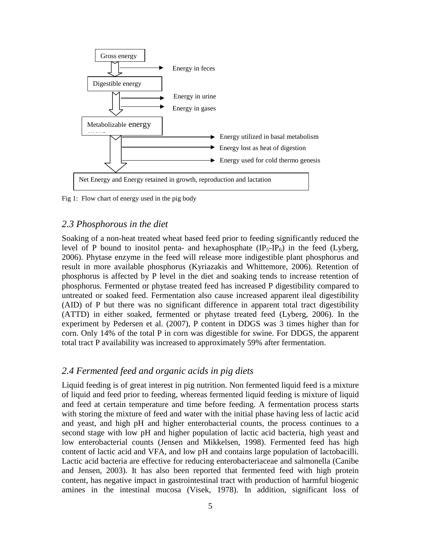

Fig 1: Flow chart of energy used in the pig body

#### <span id="page-8-0"></span>*2.3 Phosphorous in the diet*

Soaking of a non-heat treated wheat based feed prior to feeding significantly reduced the level of P bound to inositol penta- and hexaphosphate  $(\text{IP}_5-\text{IP}_6)$  in the feed (Lyberg, 2006). Phytase enzyme in the feed will release more indigestible plant phosphorus and result in more available phosphorus (Kyriazakis and Whittemore, 2006). Retention of phosphorus is affected by P level in the diet and soaking tends to increase retention of phosphorus. Fermented or phytase treated feed has increased P digestibility compared to untreated or soaked feed. Fermentation also cause increased apparent ileal digestibility (AID) of P but there was no significant difference in apparent total tract digestibility (ATTD) in either soaked, fermented or phytase treated feed (Lyberg, 2006). In the experiment by Pedersen et al. (2007), P content in DDGS was 3 times higher than for corn. Only 14% of the total P in corn was digestible for swine. For DDGS, the apparent total tract P availability was increased to approximately 59% after fermentation.

#### <span id="page-8-1"></span>*2.4 Fermented feed and organic acids in pig diets*

Liquid feeding is of great interest in pig nutrition. Non fermented liquid feed is a mixture of liquid and feed prior to feeding, whereas fermented liquid feeding is mixture of liquid and feed at certain temperature and time before feeding. A fermentation process starts with storing the mixture of feed and water with the initial phase having less of lactic acid and yeast, and high pH and higher enterobacterial counts, the process continues to a second stage with low pH and higher population of lactic acid bacteria, high yeast and low enterobacterial counts (Jensen and Mikkelsen, 1998). Fermented feed has high content of lactic acid and VFA, and low pH and contains large population of lactobacilli. Lactic acid bacteria are effective for reducing enterobacteriaceae and salmonella (Canibe and Jensen, 2003). It has also been reported that fermented feed with high protein content, has negative impact in gastrointestinal tract with production of harmful biogenic amines in the intestinal mucosa (Visek, 1978). In addition, significant loss of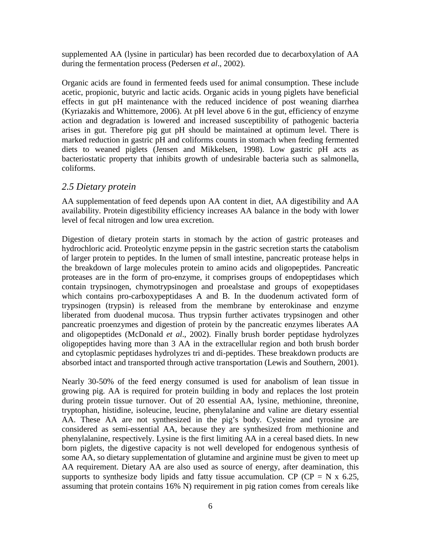supplemented AA (lysine in particular) has been recorded due to decarboxylation of AA during the fermentation process (Pedersen *et al*., 2002).

Organic acids are found in fermented feeds used for animal consumption. These include acetic, propionic, butyric and lactic acids. Organic acids in young piglets have beneficial effects in gut pH maintenance with the reduced incidence of post weaning diarrhea (Kyriazakis and Whittemore, 2006). At pH level above 6 in the gut, efficiency of enzyme action and degradation is lowered and increased susceptibility of pathogenic bacteria arises in gut. Therefore pig gut pH should be maintained at optimum level. There is marked reduction in gastric pH and coliforms counts in stomach when feeding fermented diets to weaned piglets (Jensen and Mikkelsen, 1998). Low gastric pH acts as bacteriostatic property that inhibits growth of undesirable bacteria such as salmonella, coliforms.

#### <span id="page-9-0"></span>*2.5 Dietary protein*

AA supplementation of feed depends upon AA content in diet, AA digestibility and AA availability. Protein digestibility efficiency increases AA balance in the body with lower level of fecal nitrogen and low urea excretion.

Digestion of dietary protein starts in stomach by the action of gastric proteases and hydrochloric acid. Proteolytic enzyme pepsin in the gastric secretion starts the catabolism of larger protein to peptides. In the lumen of small intestine, pancreatic protease helps in the breakdown of large molecules protein to amino acids and oligopeptides. Pancreatic proteases are in the form of pro-enzyme, it comprises groups of endopeptidases which contain trypsinogen, chymotrypsinogen and proealstase and groups of exopeptidases which contains pro-carboxypeptidases A and B. In the duodenum activated form of trypsinogen (trypsin) is released from the membrane by enterokinase and enzyme liberated from duodenal mucosa. Thus trypsin further activates trypsinogen and other pancreatic proenzymes and digestion of protein by the pancreatic enzymes liberates AA and oligopeptides (McDonald *et al*., 2002). Finally brush border peptidase hydrolyzes oligopeptides having more than 3 AA in the extracellular region and both brush border and cytoplasmic peptidases hydrolyzes tri and di-peptides. These breakdown products are absorbed intact and transported through active transportation (Lewis and Southern, 2001).

Nearly 30-50% of the feed energy consumed is used for anabolism of lean tissue in growing pig. AA is required for protein building in body and replaces the lost protein during protein tissue turnover. Out of 20 essential AA, lysine, methionine, threonine, tryptophan, histidine, isoleucine, leucine, phenylalanine and valine are dietary essential AA. These AA are not synthesized in the pig's body. Cysteine and tyrosine are considered as semi-essential AA, because they are synthesized from methionine and phenylalanine, respectively. Lysine is the first limiting AA in a cereal based diets. In new born piglets, the digestive capacity is not well developed for endogenous synthesis of some AA, so dietary supplementation of glutamine and arginine must be given to meet up AA requirement. Dietary AA are also used as source of energy, after deamination, this supports to synthesize body lipids and fatty tissue accumulation. CP (CP = N x 6.25, assuming that protein contains 16% N) requirement in pig ration comes from cereals like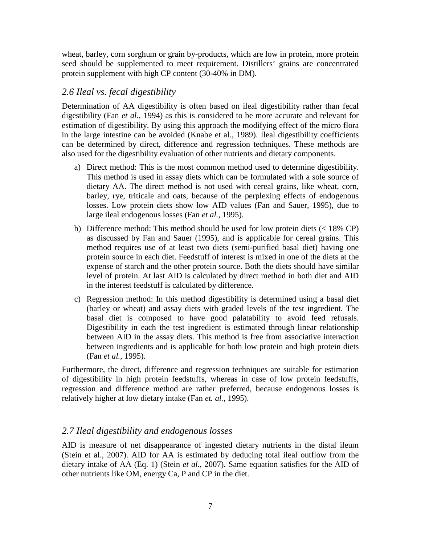wheat, barley, corn sorghum or grain by-products, which are low in protein, more protein seed should be supplemented to meet requirement. Distillers' grains are concentrated protein supplement with high CP content (30-40% in DM).

#### <span id="page-10-0"></span>*2.6 Ileal vs. fecal digestibility*

Determination of AA digestibility is often based on ileal digestibility rather than fecal digestibility (Fan *et al*., 1994) as this is considered to be more accurate and relevant for estimation of digestibility. By using this approach the modifying effect of the micro flora in the large intestine can be avoided (Knabe et al., 1989). Ileal digestibility coefficients can be determined by direct, difference and regression techniques. These methods are also used for the digestibility evaluation of other nutrients and dietary components.

- a) Direct method: This is the most common method used to determine digestibility. This method is used in assay diets which can be formulated with a sole source of dietary AA. The direct method is not used with cereal grains, like wheat, corn, barley, rye, triticale and oats, because of the perplexing effects of endogenous losses. Low protein diets show low AID values (Fan and Sauer, 1995), due to large ileal endogenous losses (Fan *et al.,* 1995).
- b) Difference method: This method should be used for low protein diets  $(< 18\% \text{ CP} )$ as discussed by Fan and Sauer (1995), and is applicable for cereal grains. This method requires use of at least two diets (semi-purified basal diet) having one protein source in each diet. Feedstuff of interest is mixed in one of the diets at the expense of starch and the other protein source. Both the diets should have similar level of protein. At last AID is calculated by direct method in both diet and AID in the interest feedstuff is calculated by difference.
- c) Regression method: In this method digestibility is determined using a basal diet (barley or wheat) and assay diets with graded levels of the test ingredient. The basal diet is composed to have good palatability to avoid feed refusals. Digestibility in each the test ingredient is estimated through linear relationship between AID in the assay diets. This method is free from associative interaction between ingredients and is applicable for both low protein and high protein diets (Fan *et al.,* 1995).

Furthermore, the direct, difference and regression techniques are suitable for estimation of digestibility in high protein feedstuffs, whereas in case of low protein feedstuffs, regression and difference method are rather preferred, because endogenous losses is relatively higher at low dietary intake (Fan *et. al.*, 1995).

#### <span id="page-10-1"></span>*2.7 Ileal digestibility and endogenous losses*

AID is measure of net disappearance of ingested dietary nutrients in the distal ileum (Stein et al., 2007). AID for AA is estimated by deducing total ileal outflow from the dietary intake of AA (Eq. 1) (Stein *et al.,* 2007). Same equation satisfies for the AID of other nutrients like OM, energy Ca, P and CP in the diet.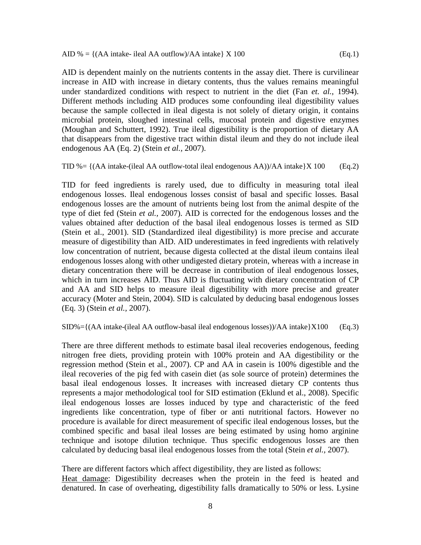AID is dependent mainly on the nutrients contents in the assay diet. There is curvilinear increase in AID with increase in dietary contents, thus the values remains meaningful under standardized conditions with respect to nutrient in the diet (Fan *et. al.*, 1994). Different methods including AID produces some confounding ileal digestibility values because the sample collected in ileal digesta is not solely of dietary origin, it contains microbial protein, sloughed intestinal cells, mucosal protein and digestive enzymes (Moughan and Schuttert, 1992). True ileal digestibility is the proportion of dietary AA that disappears from the digestive tract within distal ileum and they do not include ileal endogenous AA (Eq. 2) (Stein *et al.,* 2007).

TID % =  $\{(AA\}$  intake-(ileal AA outflow-total ileal endogenous AA))/AA intake  $\{X\}$  100 (Eq.2)

TID for feed ingredients is rarely used, due to difficulty in measuring total ileal endogenous losses. Ileal endogenous losses consist of basal and specific losses. Basal endogenous losses are the amount of nutrients being lost from the animal despite of the type of diet fed (Stein *et al.,* 2007). AID is corrected for the endogenous losses and the values obtained after deduction of the basal ileal endogenous losses is termed as SID (Stein et al., 2001). SID (Standardized ileal digestibility) is more precise and accurate measure of digestibility than AID. AID underestimates in feed ingredients with relatively low concentration of nutrient, because digesta collected at the distal ileum contains ileal endogenous losses along with other undigested dietary protein, whereas with a increase in dietary concentration there will be decrease in contribution of ileal endogenous losses, which in turn increases AID. Thus AID is fluctuating with dietary concentration of CP and AA and SID helps to measure ileal digestibility with more precise and greater accuracy (Moter and Stein, 2004). SID is calculated by deducing basal endogenous losses (Eq. 3) (Stein *et al.,* 2007).

 $\text{SID}$ %={(AA intake-(ileal AA outflow-basal ileal endogenous losses))/AA intake}X100 (Eq.3)

There are three different methods to estimate basal ileal recoveries endogenous, feeding nitrogen free diets, providing protein with 100% protein and AA digestibility or the regression method (Stein et al., 2007). CP and AA in casein is 100% digestible and the ileal recoveries of the pig fed with casein diet (as sole source of protein) determines the basal ileal endogenous losses. It increases with increased dietary CP contents thus represents a major methodological tool for SID estimation (Eklund et al., 2008). Specific ileal endogenous losses are losses induced by type and characteristic of the feed ingredients like concentration, type of fiber or anti nutritional factors. However no procedure is available for direct measurement of specific ileal endogenous losses, but the combined specific and basal ileal losses are being estimated by using homo arginine technique and isotope dilution technique. Thus specific endogenous losses are then calculated by deducing basal ileal endogenous losses from the total (Stein *et al.,* 2007).

There are different factors which affect digestibility, they are listed as follows:

Heat damage: Digestibility decreases when the protein in the feed is heated and denatured. In case of overheating, digestibility falls dramatically to 50% or less. Lysine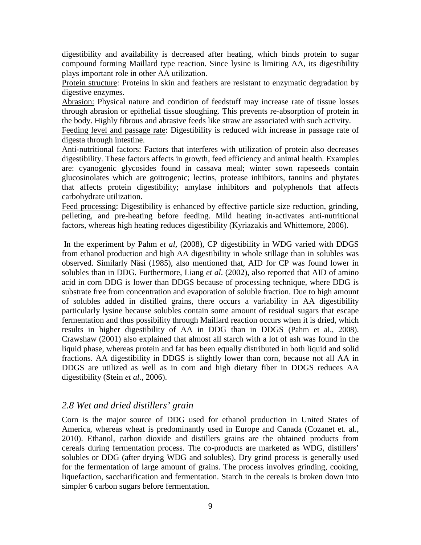digestibility and availability is decreased after heating, which binds protein to sugar compound forming Maillard type reaction. Since lysine is limiting AA, its digestibility plays important role in other AA utilization.

Protein structure: Proteins in skin and feathers are resistant to enzymatic degradation by digestive enzymes.

Abrasion: Physical nature and condition of feedstuff may increase rate of tissue losses through abrasion or epithelial tissue sloughing. This prevents re-absorption of protein in the body. Highly fibrous and abrasive feeds like straw are associated with such activity.

Feeding level and passage rate: Digestibility is reduced with increase in passage rate of digesta through intestine.

Anti-nutritional factors: Factors that interferes with utilization of protein also decreases digestibility. These factors affects in growth, feed efficiency and animal health. Examples are: cyanogenic glycosides found in cassava meal; winter sown rapeseeds contain glucosinolates which are goitrogenic; lectins, protease inhibitors, tannins and phytates that affects protein digestibility; amylase inhibitors and polyphenols that affects carbohydrate utilization.

Feed processing: Digestibility is enhanced by effective particle size reduction, grinding, pelleting, and pre-heating before feeding. Mild heating in-activates anti-nutritional factors, whereas high heating reduces digestibility (Kyriazakis and Whittemore, 2006).

In the experiment by Pahm *et al,* (2008), CP digestibility in WDG varied with DDGS from ethanol production and high AA digestibility in whole stillage than in solubles was observed. Similarly Näsi (1985), also mentioned that, AID for CP was found lower in solubles than in DDG. Furthermore, Liang *et al*. (2002), also reported that AID of amino acid in corn DDG is lower than DDGS because of processing technique, where DDG is substrate free from concentration and evaporation of soluble fraction. Due to high amount of solubles added in distilled grains, there occurs a variability in AA digestibility particularly lysine because solubles contain some amount of residual sugars that escape fermentation and thus possibility through Maillard reaction occurs when it is dried, which results in higher digestibility of AA in DDG than in DDGS (Pahm et al., 2008). Crawshaw (2001) also explained that almost all starch with a lot of ash was found in the liquid phase, whereas protein and fat has been equally distributed in both liquid and solid fractions. AA digestibility in DDGS is slightly lower than corn, because not all AA in DDGS are utilized as well as in corn and high dietary fiber in DDGS reduces AA digestibility (Stein *et al.,* 2006).

#### <span id="page-12-0"></span>*2.8 Wet and dried distillers' grain*

Corn is the major source of DDG used for ethanol production in United States of America, whereas wheat is predominantly used in Europe and Canada (Cozanet et. al., 2010). Ethanol, carbon dioxide and distillers grains are the obtained products from cereals during fermentation process. The co-products are marketed as WDG, distillers' solubles or DDG (after drying WDG and solubles). Dry grind process is generally used for the fermentation of large amount of grains. The process involves grinding, cooking, liquefaction, saccharification and fermentation. Starch in the cereals is broken down into simpler 6 carbon sugars before fermentation.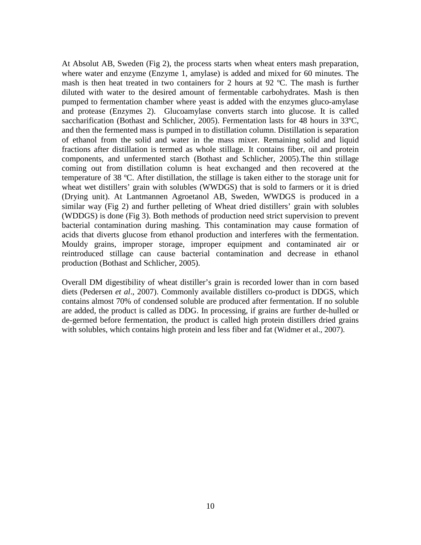At Absolut AB, Sweden (Fig 2), the process starts when wheat enters mash preparation, where water and enzyme (Enzyme 1, amylase) is added and mixed for 60 minutes. The mash is then heat treated in two containers for 2 hours at 92 ºC. The mash is further diluted with water to the desired amount of fermentable carbohydrates. Mash is then pumped to fermentation chamber where yeast is added with the enzymes gluco-amylase and protease (Enzymes 2). Glucoamylase converts starch into glucose. It is called saccharification (Bothast and Schlicher, 2005). Fermentation lasts for 48 hours in 33ºC, and then the fermented mass is pumped in to distillation column. Distillation is separation of ethanol from the solid and water in the mass mixer. Remaining solid and liquid fractions after distillation is termed as whole stillage. It contains fiber, oil and protein components, and unfermented starch (Bothast and Schlicher, 2005).The thin stillage coming out from distillation column is heat exchanged and then recovered at the temperature of 38 ºC. After distillation, the stillage is taken either to the storage unit for wheat wet distillers' grain with solubles (WWDGS) that is sold to farmers or it is dried (Drying unit). At Lantmannen Agroetanol AB, Sweden, WWDGS is produced in a similar way (Fig 2) and further pelleting of Wheat dried distillers' grain with solubles (WDDGS) is done (Fig 3). Both methods of production need strict supervision to prevent bacterial contamination during mashing. This contamination may cause formation of acids that diverts glucose from ethanol production and interferes with the fermentation. Mouldy grains, improper storage, improper equipment and contaminated air or reintroduced stillage can cause bacterial contamination and decrease in ethanol production (Bothast and Schlicher, 2005).

Overall DM digestibility of wheat distiller's grain is recorded lower than in corn based diets (Pedersen *et al*., 2007). Commonly available distillers co-product is DDGS, which contains almost 70% of condensed soluble are produced after fermentation. If no soluble are added, the product is called as DDG. In processing, if grains are further de-hulled or de-germed before fermentation, the product is called high protein distillers dried grains with solubles, which contains high protein and less fiber and fat (Widmer et al., 2007).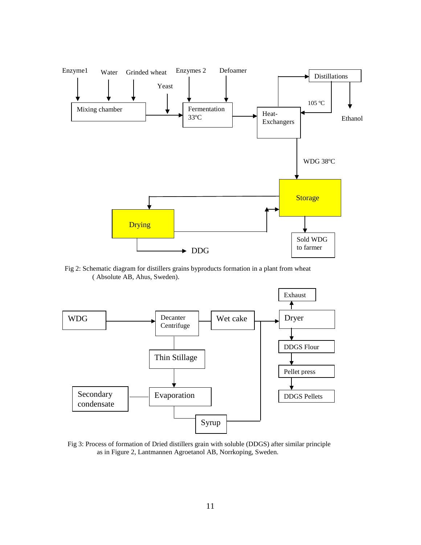

Fig 2: Schematic diagram for distillers grains byproducts formation in a plant from wheat Ahus, Sweden). ( Absolute AB, Ahus, Sweden).



Fig 3: Process of formation of Dried distillers grain with soluble (DDGS) after similar principle as in Figure 2, Lantmannen Agroetanol AB, Norrkoping, Sweden.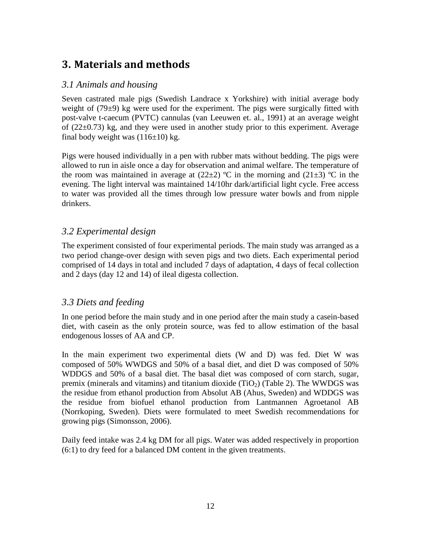# <span id="page-15-0"></span>**3. Materials and methods**

#### <span id="page-15-1"></span>*3.1 Animals and housing*

Seven castrated male pigs (Swedish Landrace x Yorkshire) with initial average body weight of (79±9) kg were used for the experiment. The pigs were surgically fitted with post-valve t-caecum (PVTC) cannulas (van Leeuwen et. al., 1991) at an average weight of  $(22\pm0.73)$  kg, and they were used in another study prior to this experiment. Average final body weight was  $(116±10)$  kg.

Pigs were housed individually in a pen with rubber mats without bedding. The pigs were allowed to run in aisle once a day for observation and animal welfare. The temperature of the room was maintained in average at  $(22\pm 2)$  °C in the morning and  $(21\pm 3)$  °C in the evening. The light interval was maintained 14/10hr dark/artificial light cycle. Free access to water was provided all the times through low pressure water bowls and from nipple drinkers.

#### <span id="page-15-2"></span>*3.2 Experimental design*

The experiment consisted of four experimental periods. The main study was arranged as a two period change-over design with seven pigs and two diets. Each experimental period comprised of 14 days in total and included 7 days of adaptation, 4 days of fecal collection and 2 days (day 12 and 14) of ileal digesta collection.

#### <span id="page-15-3"></span>*3.3 Diets and feeding*

In one period before the main study and in one period after the main study a casein-based diet, with casein as the only protein source, was fed to allow estimation of the basal endogenous losses of AA and CP.

In the main experiment two experimental diets (W and D) was fed. Diet W was composed of 50% WWDGS and 50% of a basal diet, and diet D was composed of 50% WDDGS and 50% of a basal diet. The basal diet was composed of corn starch, sugar, premix (minerals and vitamins) and titanium dioxide  $(TiO<sub>2</sub>)$  (Table 2). The WWDGS was the residue from ethanol production from Absolut AB (Ahus, Sweden) and WDDGS was the residue from biofuel ethanol production from Lantmannen Agroetanol AB (Norrkoping, Sweden). Diets were formulated to meet Swedish recommendations for growing pigs (Simonsson, 2006).

Daily feed intake was 2.4 kg DM for all pigs. Water was added respectively in proportion (6:1) to dry feed for a balanced DM content in the given treatments.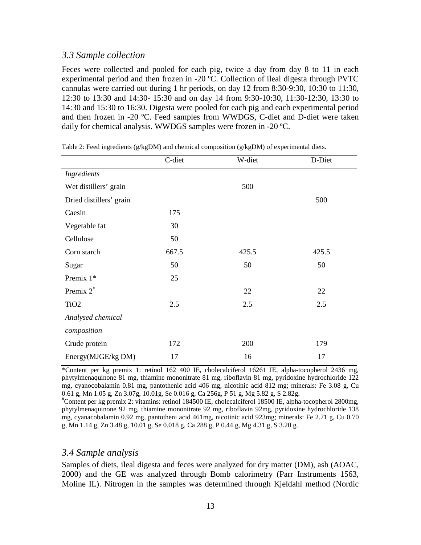#### *3.3 Sample collection*

Feces were collected and pooled for each pig, twice a day from day 8 to 11 in each experimental period and then frozen in -20 ºC. Collection of ileal digesta through PVTC cannulas were carried out during 1 hr periods, on day 12 from 8:30-9:30, 10:30 to 11:30, 12:30 to 13:30 and 14:30- 15:30 and on day 14 from 9:30-10:30, 11:30-12:30, 13:30 to 14:30 and 15:30 to 16:30. Digesta were pooled for each pig and each experimental period and then frozen in -20 ºC. Feed samples from WWDGS, C-diet and D-diet were taken daily for chemical analysis. WWDGS samples were frozen in -20 ºC.

|                         | C-diet | W-diet | D-Diet |
|-------------------------|--------|--------|--------|
| Ingredients             |        |        |        |
| Wet distillers' grain   |        | 500    |        |
| Dried distillers' grain |        |        | 500    |
| Caesin                  | 175    |        |        |
| Vegetable fat           | 30     |        |        |
| Cellulose               | 50     |        |        |
| Corn starch             | 667.5  | 425.5  | 425.5  |
| Sugar                   | 50     | 50     | 50     |
| Premix 1*               | 25     |        |        |
| Premix $2^*$            |        | 22     | 22     |
| TiO <sub>2</sub>        | 2.5    | 2.5    | 2.5    |
| Analysed chemical       |        |        |        |
| composition             |        |        |        |
| Crude protein           | 172    | 200    | 179    |
| Energy(MJGE/kg DM)      | 17     | 16     | 17     |

<span id="page-16-0"></span>Table 2: Feed ingredients ( $g/kgDM$ ) and chemical composition ( $g/kgDM$ ) of experimental diets.

\*Content per kg premix 1: retinol 162 400 IE, cholecalciferol 16261 IE, alpha-tocopherol 2436 mg, phytylmenaquinone 81 mg, thiamine mononitrate 81 mg, riboflavin 81 mg, pyridoxine hydrochloride 122 mg, cyanocobalamin 0.81 mg, pantothenic acid 406 mg, nicotinic acid 812 mg; minerals: Fe 3.08 g, Cu 0.61 g, Mn 1.05 g, Zn 3.07g, 10.01g, Se 0.016 g, Ca 256g, P 51 g, Mg 5.82 g, S 2.82g.

# Content per kg premix 2: vitamins: retinol 184500 IE, cholecalciferol 18500 IE, alpha-tocopherol 2800mg, phytylmenaquinone 92 mg, thiamine mononitrate 92 mg, riboflavin 92mg, pyridoxine hydrochloride 138 mg, cyanacobalamin 0.92 mg, pantotheni acid 461mg, nicotinic acid 923mg; minerals: Fe 2.71 g, Cu 0.70 g, Mn 1.14 g, Zn 3.48 g, 10.01 g, Se 0.018 g, Ca 288 g, P 0.44 g, Mg 4.31 g, S 3.20 g.

#### *3.4 Sample analysis*

Samples of diets, ileal digesta and feces were analyzed for dry matter (DM), ash (AOAC, 2000) and the GE was analyzed through Bomb calorimetry (Parr Instruments 1563, Moline IL). Nitrogen in the samples was determined through Kjeldahl method (Nordic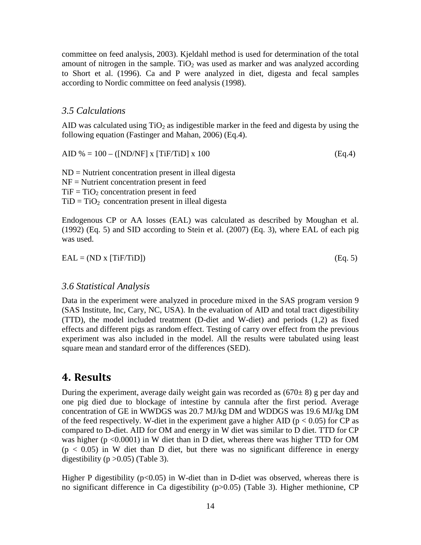committee on feed analysis, 2003). Kjeldahl method is used for determination of the total amount of nitrogen in the sample. TiO<sub>2</sub> was used as marker and was analyzed according to Short et al. (1996). Ca and P were analyzed in diet, digesta and fecal samples according to Nordic committee on feed analysis (1998).

#### <span id="page-17-0"></span>*3.5 Calculations*

AID was calculated using  $TiO<sub>2</sub>$  as indigestible marker in the feed and digesta by using the following equation (Fastinger and Mahan, 2006) (Eq.4).

AID % = 100 – ([ND/NF] x [TiF/TiD] x 100 (Eq.4)

ND = Nutrient concentration present in illeal digesta NF = Nutrient concentration present in feed  $TiF = TiO<sub>2</sub> concentration present in feed$  $TiD = TiO<sub>2</sub>$  concentration present in illeal digesta

Endogenous CP or AA losses (EAL) was calculated as described by Moughan et al. (1992) (Eq. 5) and SID according to Stein et al. (2007) (Eq. 3), where EAL of each pig was used.

 $EAL = (ND x [TiF/TiD])$  (Eq. 5)

#### *3.6 Statistical Analysis*

Data in the experiment were analyzed in procedure mixed in the SAS program version 9 (SAS Institute, Inc, Cary, NC, USA). In the evaluation of AID and total tract digestibility (TTD), the model included treatment (D-diet and W-diet) and periods (1,2) as fixed effects and different pigs as random effect. Testing of carry over effect from the previous experiment was also included in the model. All the results were tabulated using least square mean and standard error of the differences (SED).

# <span id="page-17-1"></span>**4. Results**

During the experiment, average daily weight gain was recorded as  $(670±8)$  g per day and one pig died due to blockage of intestine by cannula after the first period. Average concentration of GE in WWDGS was 20.7 MJ/kg DM and WDDGS was 19.6 MJ/kg DM of the feed respectively. W-diet in the experiment gave a higher AID ( $p < 0.05$ ) for CP as compared to D-diet. AID for OM and energy in W diet was similar to D diet. TTD for CP was higher (p <0.0001) in W diet than in D diet, whereas there was higher TTD for OM  $(p < 0.05)$  in W diet than D diet, but there was no significant difference in energy digestibility ( $p > 0.05$ ) (Table 3).

Higher P digestibility ( $p<0.05$ ) in W-diet than in D-diet was observed, whereas there is no significant difference in Ca digestibility (p>0.05) (Table 3). Higher methionine, CP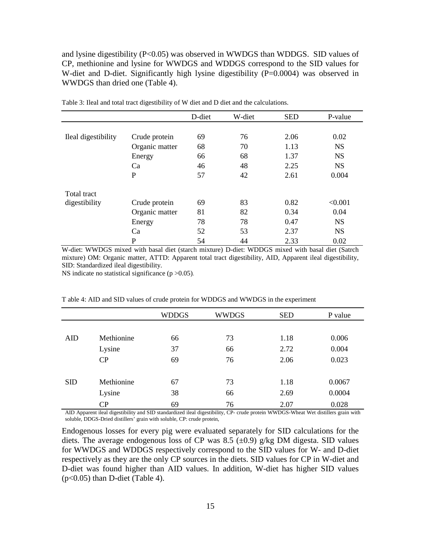and lysine digestibility (P<0.05) was observed in WWDGS than WDDGS. SID values of CP, methionine and lysine for WWDGS and WDDGS correspond to the SID values for W-diet and D-diet. Significantly high lysine digestibility (P=0.0004) was observed in WWDGS than dried one (Table 4).

|                     |                | D-diet | W-diet | <b>SED</b> | P-value   |
|---------------------|----------------|--------|--------|------------|-----------|
|                     |                |        |        |            |           |
| Ileal digestibility | Crude protein  | 69     | 76     | 2.06       | 0.02      |
|                     | Organic matter | 68     | 70     | 1.13       | <b>NS</b> |
|                     | Energy         | 66     | 68     | 1.37       | <b>NS</b> |
|                     | Ca             | 46     | 48     | 2.25       | <b>NS</b> |
|                     | $\mathbf{P}$   | 57     | 42     | 2.61       | 0.004     |
| Total tract         |                |        |        |            |           |
| digestibility       | Crude protein  | 69     | 83     | 0.82       | < 0.001   |
|                     | Organic matter | 81     | 82     | 0.34       | 0.04      |
|                     | Energy         | 78     | 78     | 0.47       | <b>NS</b> |
|                     | Ca             | 52     | 53     | 2.37       | <b>NS</b> |
|                     | P              | 54     | 44     | 2.33       | 0.02      |

Table 3: Ileal and total tract digestibility of W diet and D diet and the calculations.

W-diet: WWDGS mixed with basal diet (starch mixture) D-diet: WDDGS mixed with basal diet (Satrch mixture) OM: Organic matter, ATTD: Apparent total tract digestibility, AID, Apparent ileal digestibility, SID: Standardized ileal digestibility.

NS indicate no statistical significance  $(p > 0.05)$ .

T able 4: AID and SID values of crude protein for WDDGS and WWDGS in the experiment

|            |            | <b>WDDGS</b> | <b>WWDGS</b> | <b>SED</b> | P value |
|------------|------------|--------------|--------------|------------|---------|
|            |            |              |              |            |         |
| AID        | Methionine | 66           | 73           | 1.18       | 0.006   |
|            | Lysine     | 37           | 66           | 2.72       | 0.004   |
|            | CP         | 69           | 76           | 2.06       | 0.023   |
|            |            |              |              |            |         |
| <b>SID</b> | Methionine | 67           | 73           | 1.18       | 0.0067  |
|            | Lysine     | 38           | 66           | 2.69       | 0.0004  |
|            | CP         | 69           | 76           | 2.07       | 0.028   |

AID Apparent ileal digestibility and SID standardized ileal digestibility, CP- crude protein WWDGS-Wheat Wet distillers grain with soluble, DDGS-Dried distillers' grain with soluble, CP: crude protein,

Endogenous losses for every pig were evaluated separately for SID calculations for the diets. The average endogenous loss of CP was 8.5  $(\pm 0.9)$  g/kg DM digesta. SID values for WWDGS and WDDGS respectively correspond to the SID values for W- and D-diet respectively as they are the only CP sources in the diets. SID values for CP in W-diet and D-diet was found higher than AID values. In addition, W-diet has higher SID values  $(p<0.05)$  than D-diet (Table 4).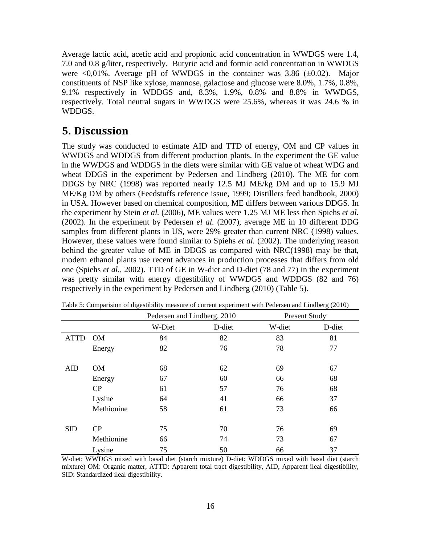Average lactic acid, acetic acid and propionic acid concentration in WWDGS were 1.4, 7.0 and 0.8 g/liter, respectively. Butyric acid and formic acid concentration in WWDGS were  $\leq 0.01\%$ . Average pH of WWDGS in the container was 3.86 ( $\pm 0.02$ ). Major constituents of NSP like xylose, mannose, galactose and glucose were 8.0%, 1.7%, 0.8%, 9.1% respectively in WDDGS and, 8.3%, 1.9%, 0.8% and 8.8% in WWDGS, respectively. Total neutral sugars in WWDGS were 25.6%, whereas it was 24.6 % in WDDGS.

### <span id="page-19-0"></span>**5. Discussion**

The study was conducted to estimate AID and TTD of energy, OM and CP values in WWDGS and WDDGS from different production plants. In the experiment the GE value in the WWDGS and WDDGS in the diets were similar with GE value of wheat WDG and wheat DDGS in the experiment by Pedersen and Lindberg (2010). The ME for corn DDGS by NRC (1998) was reported nearly 12.5 MJ ME/kg DM and up to 15.9 MJ ME/Kg DM by others (Feedstuffs reference issue, 1999; Distillers feed handbook, 2000) in USA. However based on chemical composition, ME differs between various DDGS. In the experiment by Stein *et al.* (2006), ME values were 1.25 MJ ME less then Spiehs *et al.* (2002). In the experiment by Pedersen *el al.* (2007), average ME in 10 different DDG samples from different plants in US, were 29% greater than current NRC (1998) values. However, these values were found similar to Spiehs *et al.* (2002). The underlying reason behind the greater value of ME in DDGS as compared with NRC(1998) may be that, modern ethanol plants use recent advances in production processes that differs from old one (Spiehs *et al.,* 2002). TTD of GE in W-diet and D-diet (78 and 77) in the experiment was pretty similar with energy digestibility of WWDGS and WDDGS (82 and 76) respectively in the experiment by Pedersen and Lindberg (2010) (Table 5).

|             |            | Pedersen and Lindberg, 2010 |        |        | <b>Present Study</b> |  |
|-------------|------------|-----------------------------|--------|--------|----------------------|--|
|             |            | W-Diet                      | D-diet | W-diet | D-diet               |  |
| <b>ATTD</b> | <b>OM</b>  | 84                          | 82     | 83     | 81                   |  |
|             | Energy     | 82                          | 76     | 78     | 77                   |  |
|             |            |                             |        |        |                      |  |
| <b>AID</b>  | OM         | 68                          | 62     | 69     | 67                   |  |
|             | Energy     | 67                          | 60     | 66     | 68                   |  |
|             | CP         | 61                          | 57     | 76     | 68                   |  |
|             | Lysine     | 64                          | 41     | 66     | 37                   |  |
|             | Methionine | 58                          | 61     | 73     | 66                   |  |
|             |            |                             |        |        |                      |  |
| <b>SID</b>  | CP         | 75                          | 70     | 76     | 69                   |  |
|             | Methionine | 66                          | 74     | 73     | 67                   |  |
|             | Lysine     | 75                          | 50     | 66     | 37                   |  |

Table 5: Comparision of digestibility measure of current experiment with Pedersen and Lindberg (2010)

W-diet: WWDGS mixed with basal diet (starch mixture) D-diet: WDDGS mixed with basal diet (starch mixture) OM: Organic matter, ATTD: Apparent total tract digestibility, AID, Apparent ileal digestibility, SID: Standardized ileal digestibility.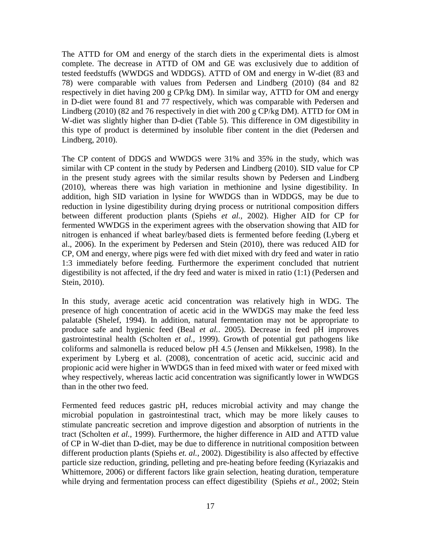The ATTD for OM and energy of the starch diets in the experimental diets is almost complete. The decrease in ATTD of OM and GE was exclusively due to addition of tested feedstuffs (WWDGS and WDDGS). ATTD of OM and energy in W-diet (83 and 78) were comparable with values from Pedersen and Lindberg (2010) (84 and 82 respectively in diet having 200 g CP/kg DM). In similar way, ATTD for OM and energy in D-diet were found 81 and 77 respectively, which was comparable with Pedersen and Lindberg (2010) (82 and 76 respectively in diet with 200 g CP/kg DM). ATTD for OM in W-diet was slightly higher than D-diet (Table 5). This difference in OM digestibility in this type of product is determined by insoluble fiber content in the diet (Pedersen and Lindberg, 2010).

The CP content of DDGS and WWDGS were 31% and 35% in the study, which was similar with CP content in the study by Pedersen and Lindberg (2010). SID value for CP in the present study agrees with the similar results shown by Pedersen and Lindberg (2010), whereas there was high variation in methionine and lysine digestibility. In addition, high SID variation in lysine for WWDGS than in WDDGS, may be due to reduction in lysine digestibility during drying process or nutritional composition differs between different production plants (Spiehs *et al.,* 2002). Higher AID for CP for fermented WWDGS in the experiment agrees with the observation showing that AID for nitrogen is enhanced if wheat barley/based diets is fermented before feeding (Lyberg et al., 2006). In the experiment by Pedersen and Stein (2010), there was reduced AID for CP, OM and energy, where pigs were fed with diet mixed with dry feed and water in ratio 1:3 immediately before feeding. Furthermore the experiment concluded that nutrient digestibility is not affected, if the dry feed and water is mixed in ratio (1:1) (Pedersen and Stein, 2010).

In this study, average acetic acid concentration was relatively high in WDG. The presence of high concentration of acetic acid in the WWDGS may make the feed less palatable (Shelef, 1994). In addition, natural fermentation may not be appropriate to produce safe and hygienic feed (Beal *et al.*. 2005). Decrease in feed pH improves gastrointestinal health (Scholten *et al.,* 1999). Growth of potential gut pathogens like coliforms and salmonella is reduced below pH 4.5 (Jensen and Mikkelsen, 1998). In the experiment by Lyberg et al. (2008), concentration of acetic acid, succinic acid and propionic acid were higher in WWDGS than in feed mixed with water or feed mixed with whey respectively, whereas lactic acid concentration was significantly lower in WWDGS than in the other two feed.

Fermented feed reduces gastric pH, reduces microbial activity and may change the microbial population in gastrointestinal tract, which may be more likely causes to stimulate pancreatic secretion and improve digestion and absorption of nutrients in the tract (Scholten *et al.,* 1999). Furthermore, the higher difference in AID and ATTD value of CP in W-diet than D-diet, may be due to difference in nutritional composition between different production plants (Spiehs *et. al.,* 2002). Digestibility is also affected by effective particle size reduction, grinding, pelleting and pre-heating before feeding (Kyriazakis and Whittemore, 2006) or different factors like grain selection, heating duration, temperature while drying and fermentation process can effect digestibility (Spiehs *et al.,* 2002; Stein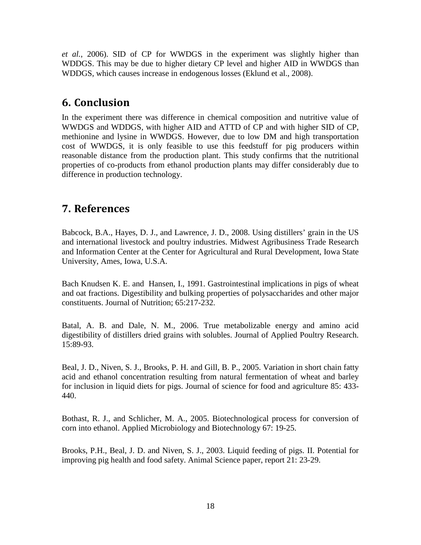*et al.*, 2006). SID of CP for WWDGS in the experiment was slightly higher than WDDGS. This may be due to higher dietary CP level and higher AID in WWDGS than WDDGS, which causes increase in endogenous losses (Eklund et al., 2008).

# <span id="page-21-0"></span>**6. Conclusion**

In the experiment there was difference in chemical composition and nutritive value of WWDGS and WDDGS, with higher AID and ATTD of CP and with higher SID of CP, methionine and lysine in WWDGS. However, due to low DM and high transportation cost of WWDGS, it is only feasible to use this feedstuff for pig producers within reasonable distance from the production plant. This study confirms that the nutritional properties of co-products from ethanol production plants may differ considerably due to difference in production technology.

## <span id="page-21-1"></span>**7. References**

Babcock, B.A., Hayes, D. J., and Lawrence, J. D., 2008. Using distillers' grain in the US and international livestock and poultry industries. Midwest Agribusiness Trade Research and Information Center at the Center for Agricultural and Rural Development, Iowa State University, Ames, Iowa, U.S.A.

Bach Knudsen K. E. and Hansen, I., 1991. Gastrointestinal implications in pigs of wheat and oat fractions. Digestibility and bulking properties of polysaccharides and other major constituents. Journal of Nutrition; 65:217-232.

Batal, A. B. and Dale, N. M., 2006. True metabolizable energy and amino acid digestibility of distillers dried grains with solubles. Journal of Applied Poultry Research. 15:89-93.

Beal, J. D., Niven, S. J., Brooks, P. H. and Gill, B. P., 2005. Variation in short chain fatty acid and ethanol concentration resulting from natural fermentation of wheat and barley for inclusion in liquid diets for pigs. Journal of science for food and agriculture 85: 433- 440.

Bothast, R. J., and Schlicher, M. A., 2005. Biotechnological process for conversion of corn into ethanol. Applied Microbiology and Biotechnology 67: 19-25.

Brooks, P.H., Beal, J. D. and Niven, S. J., 2003. Liquid feeding of pigs. II. Potential for improving pig health and food safety. Animal Science paper, report 21: 23-29.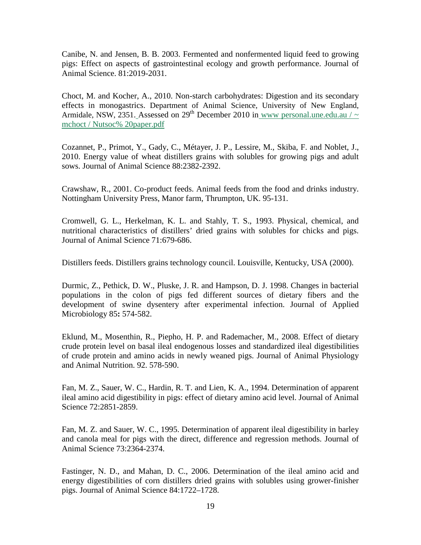Canibe, N. and Jensen, B. B. 2003. Fermented and nonfermented liquid feed to growing pigs: Effect on aspects of gastrointestinal ecology and growth performance. Journal of Animal Science. 81:2019-2031.

Choct, M. and Kocher, A., 2010. Non-starch carbohydrates: Digestion and its secondary effects in monogastrics. Department of Animal Science, University of New England, Armidale, NSW, 2351. Assessed on 29<sup>th</sup> December 2010 in www personal.une.edu.au /  $\sim$ mchoct / Nutsoc% 20paper.pdf

Cozannet, P., Primot, Y., Gady, C., Métayer, J. P., Lessire, M., Skiba, F. and Noblet, J., 2010. Energy value of wheat distillers grains with solubles for growing pigs and adult sows. Journal of Animal Science 88:2382-2392.

Crawshaw, R., 2001. Co-product feeds. Animal feeds from the food and drinks industry. Nottingham University Press, Manor farm, Thrumpton, UK. 95-131.

Cromwell, G. L., Herkelman, K. L. and Stahly, T. S., 1993. Physical, chemical, and nutritional characteristics of distillers' dried grains with solubles for chicks and pigs. Journal of Animal Science 71:679-686.

Distillers feeds. Distillers grains technology council. Louisville, Kentucky, USA (2000).

Durmic, Z., Pethick, D. W., Pluske, J. R. and Hampson, D. J. 1998. Changes in bacterial populations in the colon of pigs fed different sources of dietary fibers and the development of swine dysentery after experimental infection. Journal of Applied Microbiology 85**:** 574-582.

Eklund, M., Mosenthin, R., Piepho, H. P. and Rademacher, M., 2008. Effect of dietary crude protein level on basal ileal endogenous losses and standardized ileal digestibilities of crude protein and amino acids in newly weaned pigs. Journal of Animal Physiology and Animal Nutrition. 92. 578-590.

Fan, M. Z., Sauer, W. C., Hardin, R. T. and Lien, K. A., 1994. Determination of apparent ileal amino acid digestibility in pigs: effect of dietary amino acid level. Journal of Animal Science 72:2851-2859.

Fan, M. Z. and Sauer, W. C., 1995. Determination of apparent ileal digestibility in barley and canola meal for pigs with the direct, difference and regression methods. Journal of Animal Science 73:2364-2374.

Fastinger, N. D., and Mahan, D. C., 2006. Determination of the ileal amino acid and energy digestibilities of corn distillers dried grains with solubles using grower-finisher pigs. Journal of Animal Science 84:1722–1728.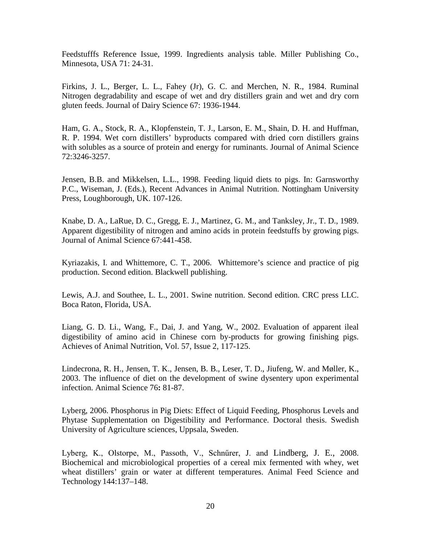Feedstufffs Reference Issue, 1999. Ingredients analysis table. Miller Publishing Co., Minnesota, USA 71: 24-31.

Firkins, J. L., Berger, L. L., Fahey (Jr), G. C. and Merchen, N. R., 1984. Ruminal Nitrogen degradability and escape of wet and dry distillers grain and wet and dry corn gluten feeds. Journal of Dairy Science 67: 1936-1944.

Ham, G. A., Stock, R. A., Klopfenstein, T. J., Larson, E. M., Shain, D. H. and Huffman, R. P. 1994. Wet corn distillers' byproducts compared with dried corn distillers grains with solubles as a source of protein and energy for ruminants. Journal of Animal Science 72:3246-3257.

Jensen, B.B. and Mikkelsen, L.L., 1998. Feeding liquid diets to pigs. In: Garnsworthy P.C., Wiseman, J. (Eds.), Recent Advances in Animal Nutrition. Nottingham University Press, Loughborough, UK. 107-126.

Knabe, D. A., LaRue, D. C., Gregg, E. J., Martinez, G. M., and Tanksley, Jr., T. D., 1989. Apparent digestibility of nitrogen and amino acids in protein feedstuffs by growing pigs. Journal of Animal Science 67:441-458.

Kyriazakis, I. and Whittemore, C. T., 2006. Whittemore's science and practice of pig production. Second edition. Blackwell publishing.

Lewis, A.J. and Southee, L. L., 2001. Swine nutrition. Second edition. CRC press LLC. Boca Raton, Florida, USA.

Liang, G. D. Li., Wang, F., Dai, J. and Yang, W., 2002. Evaluation of apparent ileal digestibility of amino acid in Chinese corn by-products for growing finishing pigs. Achieves of Animal Nutrition, Vol. 57, Issue 2, 117-125.

Lindecrona, R. H., Jensen, T. K., Jensen, B. B., Leser, T. D., Jiufeng, W. and Møller, K., 2003. The influence of diet on the development of swine dysentery upon experimental infection. Animal Science 76**:** 81-87.

Lyberg, 2006. Phosphorus in Pig Diets: Effect of Liquid Feeding, Phosphorus Levels and Phytase Supplementation on Digestibility and Performance. Doctoral thesis. Swedish University of Agriculture sciences, Uppsala, Sweden.

Lyberg, K., Olstorpe, M., Passoth, V., Schnűrer, J. and Lindberg, J. E., 2008. Biochemical and microbiological properties of a cereal mix fermented with whey, wet wheat distillers' grain or water at different temperatures. Animal Feed Science and Technology 144:137–148.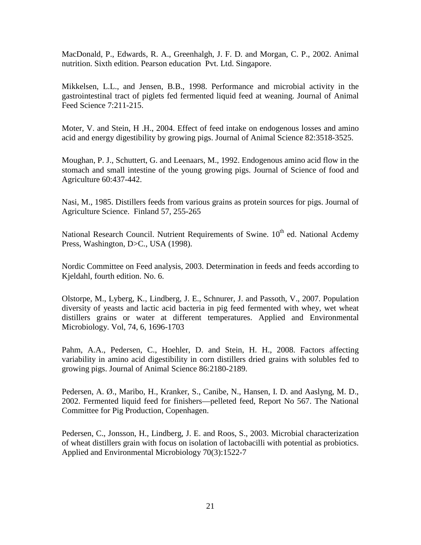MacDonald, P., Edwards, R. A., Greenhalgh, J. F. D. and Morgan, C. P., 2002. Animal nutrition. Sixth edition. Pearson education Pvt. Ltd. Singapore.

Mikkelsen, L.L., and Jensen, B.B., 1998. Performance and microbial activity in the gastrointestinal tract of piglets fed fermented liquid feed at weaning. Journal of Animal Feed Science 7:211-215.

Moter, V. and Stein, H .H., 2004. Effect of feed intake on endogenous losses and amino acid and energy digestibility by growing pigs. Journal of Animal Science 82:3518-3525.

Moughan, P. J., Schuttert, G. and Leenaars, M., 1992. Endogenous amino acid flow in the stomach and small intestine of the young growing pigs. Journal of Science of food and Agriculture 60:437-442.

Nasi, M., 1985. Distillers feeds from various grains as protein sources for pigs. Journal of Agriculture Science. Finland 57, 255-265

National Research Council. Nutrient Requirements of Swine. 10<sup>th</sup> ed. National Acdemy Press, Washington, D>C., USA (1998).

Nordic Committee on Feed analysis, 2003. Determination in feeds and feeds according to Kjeldahl, fourth edition. No. 6.

Olstorpe, M., Lyberg, K., Lindberg, J. E., Schnurer, J. and Passoth, V., 2007. Population diversity of yeasts and lactic acid bacteria in pig feed fermented with whey, wet wheat distillers grains or water at different temperatures. Applied and Environmental Microbiology. Vol, 74, 6, 1696-1703

Pahm, A.A., Pedersen, C., Hoehler, D. and Stein, H. H., 2008. Factors affecting variability in amino acid digestibility in corn distillers dried grains with solubles fed to growing pigs. Journal of Animal Science 86:2180-2189.

Pedersen, A. Ø., Maribo, H., Kranker, S., Canibe, N., Hansen, I. D. and Aaslyng, M. D., 2002. Fermented liquid feed for finishers—pelleted feed, Report No 567. The National Committee for Pig Production, Copenhagen.

Pedersen, C., Jonsson, H., Lindberg, J. E. and Roos, S., 2003. Microbial characterization of wheat distillers grain with focus on isolation of lactobacilli with potential as probiotics. Applied and Environmental Microbiology 70(3):1522-7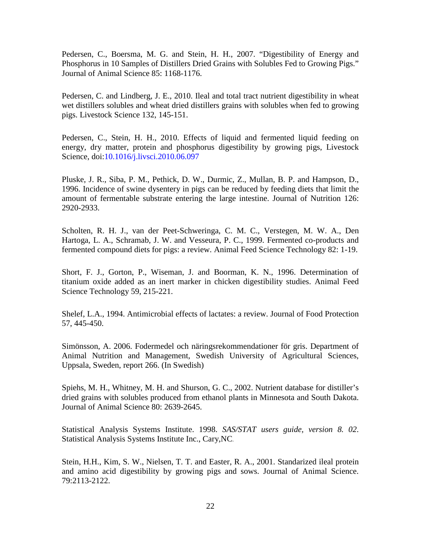Pedersen, C., Boersma, M. G. and Stein, H. H., 2007. "Digestibility of Energy and Phosphorus in 10 Samples of Distillers Dried Grains with Solubles Fed to Growing Pigs." Journal of Animal Science 85: 1168-1176.

Pedersen, C. and Lindberg, J. E., 2010. Ileal and total tract nutrient digestibility in wheat wet distillers solubles and wheat dried distillers grains with solubles when fed to growing pigs. Livestock Science 132, 145-151.

Pedersen, C., Stein, H. H., 2010. Effects of liquid and fermented liquid feeding on energy, dry matter, protein and phosphorus digestibility by growing pigs, Livestock Science, doi:10.1016/j.livsci.2010.06.097

Pluske, J. R., Siba, P. M., Pethick, D. W., Durmic, Z., Mullan, B. P. and Hampson, D., 1996. Incidence of swine dysentery in pigs can be reduced by feeding diets that limit the amount of fermentable substrate entering the large intestine. Journal of Nutrition 126: 2920-2933.

Scholten, R. H. J., van der Peet-Schweringa, C. M. C., Verstegen, M. W. A., Den Hartoga, L. A., Schramab, J. W. and Vesseura, P. C., 1999. Fermented co-products and fermented compound diets for pigs: a review. Animal Feed Science Technology 82: 1-19.

Short, F. J., Gorton, P., Wiseman, J. and Boorman, K. N., 1996. Determination of titanium oxide added as an inert marker in chicken digestibility studies. Animal Feed Science Technology 59, 215-221.

Shelef, L.A., 1994. Antimicrobial effects of lactates: a review. Journal of Food Protection 57, 445-450.

Simönsson, A. 2006. Fodermedel och näringsrekommendationer för gris. Department of Animal Nutrition and Management, Swedish University of Agricultural Sciences, Uppsala, Sweden, report 266. (In Swedish)

Spiehs, M. H., Whitney, M. H. and Shurson, G. C., 2002. Nutrient database for distiller's dried grains with solubles produced from ethanol plants in Minnesota and South Dakota. Journal of Animal Science 80: 2639-2645.

Statistical Analysis Systems Institute. 1998. *SAS/STAT users guide, version 8. 02*. Statistical Analysis Systems Institute Inc., Cary,NC.

Stein, H.H., Kim, S. W., Nielsen, T. T. and Easter, R. A., 2001. Standarized ileal protein and amino acid digestibility by growing pigs and sows. Journal of Animal Science. 79:2113-2122.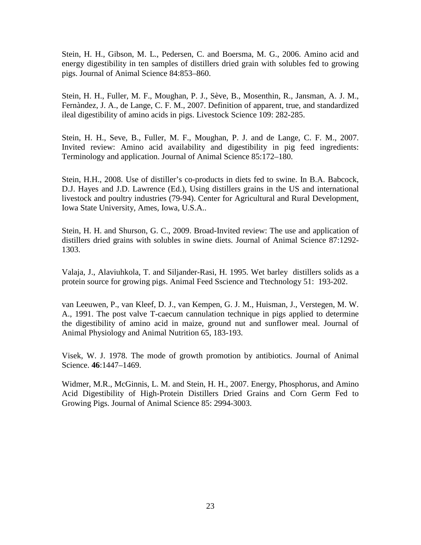Stein, H. H., Gibson, M. L., Pedersen, C. and Boersma, M. G., 2006. Amino acid and energy digestibility in ten samples of distillers dried grain with solubles fed to growing pigs. Journal of Animal Science 84:853–860.

Stein, H. H., Fuller, M. F., Moughan, P. J., Sève, B., Mosenthin, R., Jansman, A. J. M., Fernàndez, J. A., de Lange, C. F. M., 2007. Definition of apparent, true, and standardized ileal digestibility of amino acids in pigs. Livestock Science 109: 282-285.

Stein, H. H., Seve, B., Fuller, M. F., Moughan, P. J. and de Lange, C. F. M., 2007. Invited review: Amino acid availability and digestibility in pig feed ingredients: Terminology and application. Journal of Animal Science 85:172–180.

Stein, H.H., 2008. Use of distiller's co-products in diets fed to swine. In B.A. Babcock, D.J. Hayes and J.D. Lawrence (Ed.), Using distillers grains in the US and international livestock and poultry industries (79-94). Center for Agricultural and Rural Development, Iowa State University, Ames, Iowa, U.S.A..

Stein, H. H. and Shurson, G. C., 2009. Broad-Invited review: The use and application of distillers dried grains with solubles in swine diets. Journal of Animal Science 87:1292- 1303.

Valaja, J., Alaviuhkola, T. and Siljander-Rasi, H. 1995. Wet barley distillers solids as a protein source for growing pigs. Animal Feed Sscience and Ttechnology 51: 193-202.

van Leeuwen, P., van Kleef, D. J., van Kempen, G. J. M., Huisman, J., Verstegen, M. W. A., 1991. The post valve T-caecum cannulation technique in pigs applied to determine the digestibility of amino acid in maize, ground nut and sunflower meal. Journal of Animal Physiology and Animal Nutrition 65, 183-193.

Visek, W. J. 1978. The mode of growth promotion by antibiotics. Journal of Animal Science. **46**:1447–1469.

<span id="page-26-0"></span>Widmer, M.R., McGinnis, L. M. and Stein, H. H., 2007. Energy, Phosphorus, and Amino Acid Digestibility of High-Protein Distillers Dried Grains and Corn Germ Fed to Growing Pigs. Journal of Animal Science 85: 2994-3003.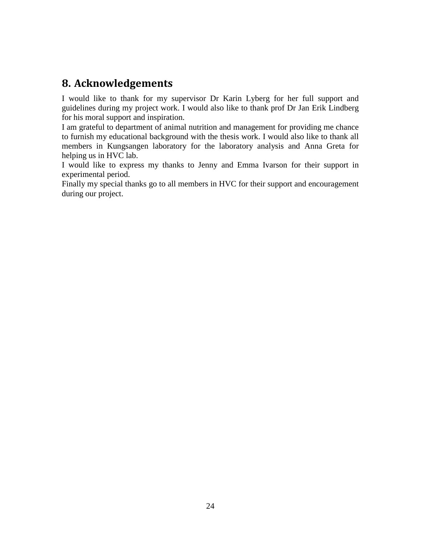# **8. Acknowledgements**

I would like to thank for my supervisor Dr Karin Lyberg for her full support and guidelines during my project work. I would also like to thank prof Dr Jan Erik Lindberg for his moral support and inspiration.

I am grateful to department of animal nutrition and management for providing me chance to furnish my educational background with the thesis work. I would also like to thank all members in Kungsangen laboratory for the laboratory analysis and Anna Greta for helping us in HVC lab.

I would like to express my thanks to Jenny and Emma Ivarson for their support in experimental period.

Finally my special thanks go to all members in HVC for their support and encouragement during our project.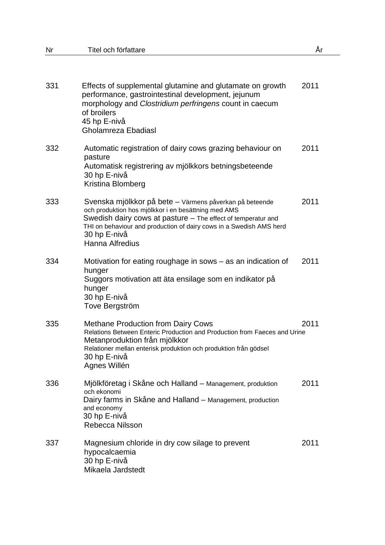| 331 | Effects of supplemental glutamine and glutamate on growth<br>performance, gastrointestinal development, jejunum<br>morphology and Clostridium perfringens count in caecum<br>of broilers<br>45 hp E-nivå<br>Gholamreza Ebadiasl                                                          | 2011 |
|-----|------------------------------------------------------------------------------------------------------------------------------------------------------------------------------------------------------------------------------------------------------------------------------------------|------|
| 332 | Automatic registration of dairy cows grazing behaviour on<br>pasture<br>Automatisk registrering av mjölkkors betningsbeteende<br>30 hp E-nivå<br>Kristina Blomberg                                                                                                                       | 2011 |
| 333 | Svenska mjölkkor på bete – Värmens påverkan på beteende<br>och produktion hos mjölkkor i en besättning med AMS<br>Swedish dairy cows at pasture – The effect of temperatur and<br>THI on behaviour and production of dairy cows in a Swedish AMS herd<br>30 hp E-nivå<br>Hanna Alfredius | 2011 |
| 334 | Motivation for eating roughage in sows - as an indication of<br>hunger<br>Suggors motivation att äta ensilage som en indikator på<br>hunger<br>30 hp E-nivå<br>Tove Bergström                                                                                                            | 2011 |
| 335 | <b>Methane Production from Dairy Cows</b><br>Relations Between Enteric Production and Production from Faeces and Urine<br>Metanproduktion från mjölkkor<br>Relationer mellan enterisk produktion och produktion från gödsel<br>30 hp E-nivå<br>Agnes Willén                              | 2011 |
| 336 | Mjölkföretag i Skåne och Halland - Management, produktion<br>och ekonomi<br>Dairy farms in Skåne and Halland - Management, production<br>and economy<br>30 hp E-nivå<br>Rebecca Nilsson                                                                                                  | 2011 |
| 337 | Magnesium chloride in dry cow silage to prevent<br>hypocalcaemia<br>30 hp E-nivå<br>Mikaela Jardstedt                                                                                                                                                                                    | 2011 |

Nr Titel och författare År